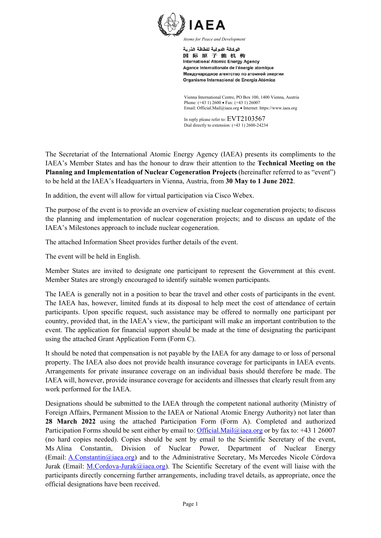

اله كالة الده لبة للطاقة الذرية 国际原子能机构 **International Atomic Energy Agency** Agence internationale de l'énergie atomique Международное агентство по атомной энергии Organismo Internacional de Energía Atómica

Vienna International Centre, PO Box 100, 1400 Vienna, Austria Phone: (+43 1) 2600 • Fax: (+43 1) 26007 Email: Official.Mail@iaea.org Internet: https://www.iaea.org

In reply please refer to: EVT2103567 Dial directly to extension: (+43 1) 2600-24234

The Secretariat of the International Atomic Energy Agency (IAEA) presents its compliments to the IAEA's Member States and has the honour to draw their attention to the **Technical Meeting on the Planning and Implementation of Nuclear Cogeneration Projects** (hereinafter referred to as "event") to be held at the IAEA's Headquarters in Vienna, Austria, from **30 May to 1 June 2022**.

In addition, the event will allow for virtual participation via Cisco Webex.

The purpose of the event is to provide an overview of existing nuclear cogeneration projects; to discuss the planning and implementation of nuclear cogeneration projects; and to discuss an update of the IAEA's Milestones approach to include nuclear cogeneration.

The attached Information Sheet provides further details of the event.

The event will be held in English.

Member States are invited to designate one participant to represent the Government at this event. Member States are strongly encouraged to identify suitable women participants.

The IAEA is generally not in a position to bear the travel and other costs of participants in the event. The IAEA has, however, limited funds at its disposal to help meet the cost of attendance of certain participants. Upon specific request, such assistance may be offered to normally one participant per country, provided that, in the IAEA's view, the participant will make an important contribution to the event. The application for financial support should be made at the time of designating the participant using the attached Grant Application Form (Form C).

It should be noted that compensation is not payable by the IAEA for any damage to or loss of personal property. The IAEA also does not provide health insurance coverage for participants in IAEA events. Arrangements for private insurance coverage on an individual basis should therefore be made. The IAEA will, however, provide insurance coverage for accidents and illnesses that clearly result from any work performed for the IAEA.

Designations should be submitted to the IAEA through the competent national authority (Ministry of Foreign Affairs, Permanent Mission to the IAEA or National Atomic Energy Authority) not later than **28 March 2022** using the attached Participation Form (Form A). Completed and authorized Participation Forms should be sent either by email to: Official.Mail@iaea.org or by fax to: +43 1 26007 (no hard copies needed). Copies should be sent by email to the Scientific Secretary of the event, Ms Alina Constantin, Division of Nuclear Power, Department of Nuclear Energy (Email: A.Constantin@iaea.org) and to the Administrative Secretary, Ms Mercedes Nicole Córdova Jurak (Email: M.Cordova-Jurak@iaea.org). The Scientific Secretary of the event will liaise with the participants directly concerning further arrangements, including travel details, as appropriate, once the official designations have been received.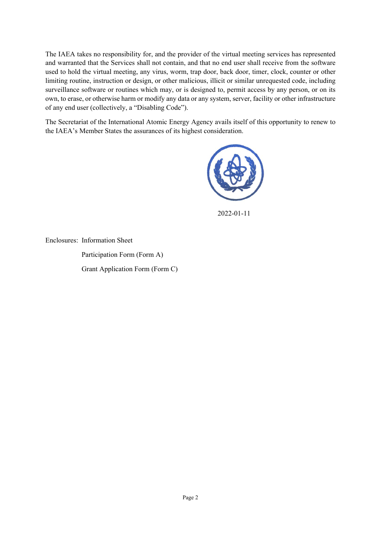The IAEA takes no responsibility for, and the provider of the virtual meeting services has represented and warranted that the Services shall not contain, and that no end user shall receive from the software used to hold the virtual meeting, any virus, worm, trap door, back door, timer, clock, counter or other limiting routine, instruction or design, or other malicious, illicit or similar unrequested code, including surveillance software or routines which may, or is designed to, permit access by any person, or on its own, to erase, or otherwise harm or modify any data or any system, server, facility or other infrastructure of any end user (collectively, a "Disabling Code").

The Secretariat of the International Atomic Energy Agency avails itself of this opportunity to renew to the IAEA's Member States the assurances of its highest consideration.



2022-01-11

Enclosures: Information Sheet

 Participation Form (Form A) Grant Application Form (Form C)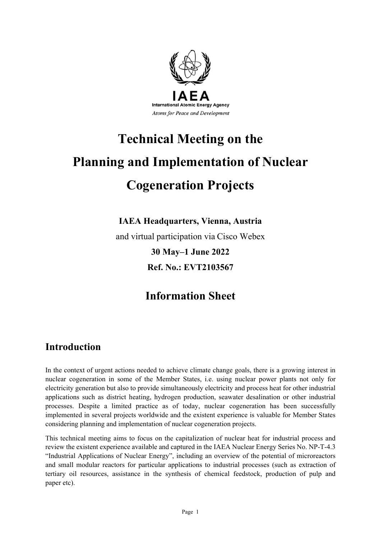

# **Technical Meeting on the Planning and Implementation of Nuclear Cogeneration Projects**

**IAEA Headquarters, Vienna, Austria** 

and virtual participation via Cisco Webex

**30 May–1 June 2022 Ref. No.: EVT2103567** 

# **Information Sheet**

# **Introduction**

In the context of urgent actions needed to achieve climate change goals, there is a growing interest in nuclear cogeneration in some of the Member States, i.e. using nuclear power plants not only for electricity generation but also to provide simultaneously electricity and process heat for other industrial applications such as district heating, hydrogen production, seawater desalination or other industrial processes. Despite a limited practice as of today, nuclear cogeneration has been successfully implemented in several projects worldwide and the existent experience is valuable for Member States considering planning and implementation of nuclear cogeneration projects.

This technical meeting aims to focus on the capitalization of nuclear heat for industrial process and review the existent experience available and captured in the IAEA Nuclear Energy Series No. NP-T-4.3 "Industrial Applications of Nuclear Energy", including an overview of the potential of microreactors and small modular reactors for particular applications to industrial processes (such as extraction of tertiary oil resources, assistance in the synthesis of chemical feedstock, production of pulp and paper etc).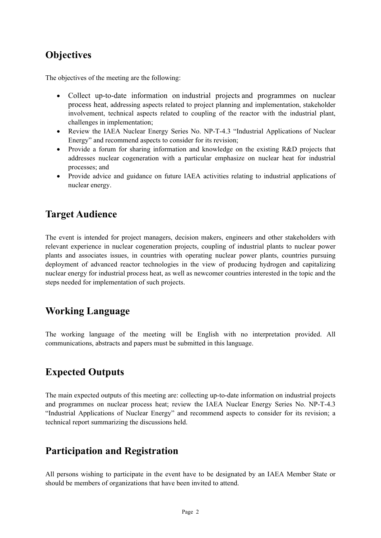# **Objectives**

The objectives of the meeting are the following:

- Collect up-to-date information on industrial projects and programmes on nuclear process heat, addressing aspects related to project planning and implementation, stakeholder involvement, technical aspects related to coupling of the reactor with the industrial plant, challenges in implementation;
- Review the IAEA Nuclear Energy Series No. NP-T-4.3 "Industrial Applications of Nuclear Energy" and recommend aspects to consider for its revision;
- Provide a forum for sharing information and knowledge on the existing R&D projects that addresses nuclear cogeneration with a particular emphasize on nuclear heat for industrial processes; and
- Provide advice and guidance on future IAEA activities relating to industrial applications of nuclear energy.

# **Target Audience**

The event is intended for project managers, decision makers, engineers and other stakeholders with relevant experience in nuclear cogeneration projects, coupling of industrial plants to nuclear power plants and associates issues, in countries with operating nuclear power plants, countries pursuing deployment of advanced reactor technologies in the view of producing hydrogen and capitalizing nuclear energy for industrial process heat, as well as newcomer countries interested in the topic and the steps needed for implementation of such projects.

## **Working Language**

The working language of the meeting will be English with no interpretation provided. All communications, abstracts and papers must be submitted in this language.

## **Expected Outputs**

The main expected outputs of this meeting are: collecting up-to-date information on industrial projects and programmes on nuclear process heat; review the IAEA Nuclear Energy Series No. NP-T-4.3 "Industrial Applications of Nuclear Energy" and recommend aspects to consider for its revision; a technical report summarizing the discussions held.

### **Participation and Registration**

All persons wishing to participate in the event have to be designated by an IAEA Member State or should be members of organizations that have been invited to attend.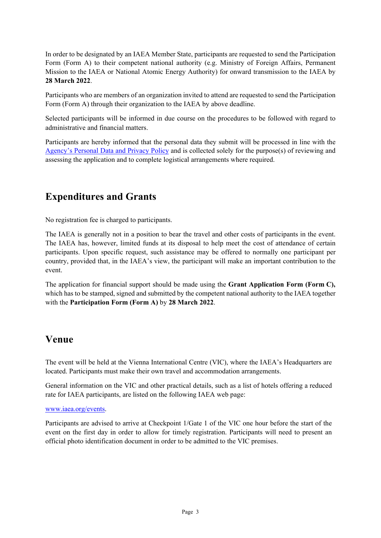In order to be designated by an IAEA Member State, participants are requested to send the Participation Form (Form A) to their competent national authority (e.g. Ministry of Foreign Affairs, Permanent Mission to the IAEA or National Atomic Energy Authority) for onward transmission to the IAEA by **28 March 2022**.

Participants who are members of an organization invited to attend are requested to send the Participation Form (Form A) through their organization to the IAEA by above deadline.

Selected participants will be informed in due course on the procedures to be followed with regard to administrative and financial matters.

Participants are hereby informed that the personal data they submit will be processed in line with the Agency's Personal Data and Privacy Policy and is collected solely for the purpose(s) of reviewing and assessing the application and to complete logistical arrangements where required.

## **Expenditures and Grants**

No registration fee is charged to participants.

The IAEA is generally not in a position to bear the travel and other costs of participants in the event. The IAEA has, however, limited funds at its disposal to help meet the cost of attendance of certain participants. Upon specific request, such assistance may be offered to normally one participant per country, provided that, in the IAEA's view, the participant will make an important contribution to the event.

The application for financial support should be made using the **Grant Application Form (Form C),** which has to be stamped, signed and submitted by the competent national authority to the IAEA together with the **Participation Form (Form A)** by **28 March 2022**.

### **Venue**

The event will be held at the Vienna International Centre (VIC), where the IAEA's Headquarters are located. Participants must make their own travel and accommodation arrangements.

General information on the VIC and other practical details, such as a list of hotels offering a reduced rate for IAEA participants, are listed on the following IAEA web page:

#### www.iaea.org/events.

Participants are advised to arrive at Checkpoint 1/Gate 1 of the VIC one hour before the start of the event on the first day in order to allow for timely registration. Participants will need to present an official photo identification document in order to be admitted to the VIC premises.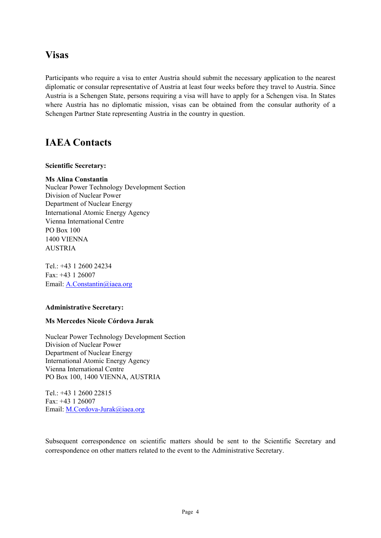### **Visas**

Participants who require a visa to enter Austria should submit the necessary application to the nearest diplomatic or consular representative of Austria at least four weeks before they travel to Austria. Since Austria is a Schengen State, persons requiring a visa will have to apply for a Schengen visa. In States where Austria has no diplomatic mission, visas can be obtained from the consular authority of a Schengen Partner State representing Austria in the country in question.

## **IAEA Contacts**

#### **Scientific Secretary:**

#### **Ms Alina Constantin**

Nuclear Power Technology Development Section Division of Nuclear Power Department of Nuclear Energy International Atomic Energy Agency Vienna International Centre PO Box 100 1400 VIENNA AUSTRIA

Tel.: +43 1 2600 24234 Fax: +43 1 26007 Email: A.Constantin@iaea.org

#### **Administrative Secretary:**

#### **Ms Mercedes Nicole Córdova Jurak**

Nuclear Power Technology Development Section Division of Nuclear Power Department of Nuclear Energy International Atomic Energy Agency Vienna International Centre PO Box 100, 1400 VIENNA, AUSTRIA

Tel.: +43 1 2600 22815 Fax: +43 1 26007 Email: M.Cordova-Jurak@iaea.org

Subsequent correspondence on scientific matters should be sent to the Scientific Secretary and correspondence on other matters related to the event to the Administrative Secretary.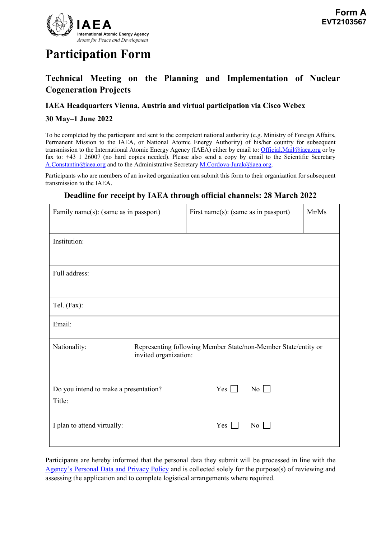

# **Participation Form**

### **Technical Meeting on the Planning and Implementation of Nuclear Cogeneration Projects**

#### **IAEA Headquarters Vienna, Austria and virtual participation via Cisco Webex**

#### **30 May–1 June 2022**

To be completed by the participant and sent to the competent national authority (e.g. Ministry of Foreign Affairs, Permanent Mission to the IAEA, or National Atomic Energy Authority) of his/her country for subsequent transmission to the International Atomic Energy Agency (IAEA) either by email to: Official.Mail@iaea.org or by fax to: +43 1 26007 (no hard copies needed). Please also send a copy by email to the Scientific Secretary A.Constantin@iaea.org and to the Administrative Secretary M.Cordova-Jurak@iaea.org.

Participants who are members of an invited organization can submit this form to their organization for subsequent transmission to the IAEA.

#### **Deadline for receipt by IAEA through official channels: 28 March 2022**

| Family name(s): (same as in passport)           |                                                                                         | First name(s): (same as in passport) |                  | Mr/Ms |  |
|-------------------------------------------------|-----------------------------------------------------------------------------------------|--------------------------------------|------------------|-------|--|
| Institution:                                    |                                                                                         |                                      |                  |       |  |
| Full address:                                   |                                                                                         |                                      |                  |       |  |
| Tel. (Fax):                                     |                                                                                         |                                      |                  |       |  |
| Email:                                          |                                                                                         |                                      |                  |       |  |
| Nationality:                                    | Representing following Member State/non-Member State/entity or<br>invited organization: |                                      |                  |       |  |
| Do you intend to make a presentation?<br>Title: |                                                                                         | Yes $\Box$                           | $\overline{N_0}$ |       |  |
| I plan to attend virtually:                     |                                                                                         | Yes                                  | $\overline{N_0}$ |       |  |

Participants are hereby informed that the personal data they submit will be processed in line with the Agency's Personal Data and Privacy Policy and is collected solely for the purpose(s) of reviewing and assessing the application and to complete logistical arrangements where required.